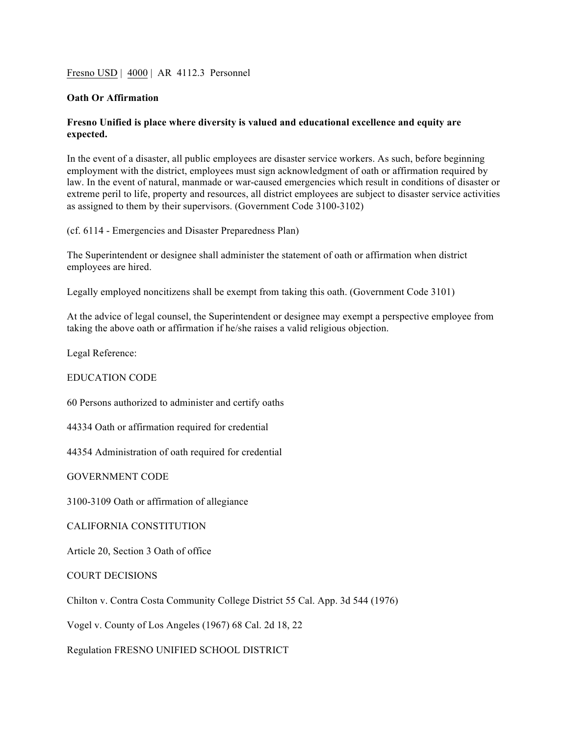Fresno USD | 4000 | AR 4112.3 Personnel

## **Oath Or Affirmation**

## **Fresno Unified is place where diversity is valued and educational excellence and equity are expected.**

In the event of a disaster, all public employees are disaster service workers. As such, before beginning employment with the district, employees must sign acknowledgment of oath or affirmation required by law. In the event of natural, manmade or war-caused emergencies which result in conditions of disaster or extreme peril to life, property and resources, all district employees are subject to disaster service activities as assigned to them by their supervisors. (Government Code 3100-3102)

(cf. 6114 - Emergencies and Disaster Preparedness Plan)

The Superintendent or designee shall administer the statement of oath or affirmation when district employees are hired.

Legally employed noncitizens shall be exempt from taking this oath. (Government Code 3101)

At the advice of legal counsel, the Superintendent or designee may exempt a perspective employee from taking the above oath or affirmation if he/she raises a valid religious objection.

Legal Reference:

## EDUCATION CODE

60 Persons authorized to administer and certify oaths

44334 Oath or affirmation required for credential

44354 Administration of oath required for credential

GOVERNMENT CODE

3100-3109 Oath or affirmation of allegiance

CALIFORNIA CONSTITUTION

Article 20, Section 3 Oath of office

COURT DECISIONS

Chilton v. Contra Costa Community College District 55 Cal. App. 3d 544 (1976)

Vogel v. County of Los Angeles (1967) 68 Cal. 2d 18, 22

Regulation FRESNO UNIFIED SCHOOL DISTRICT